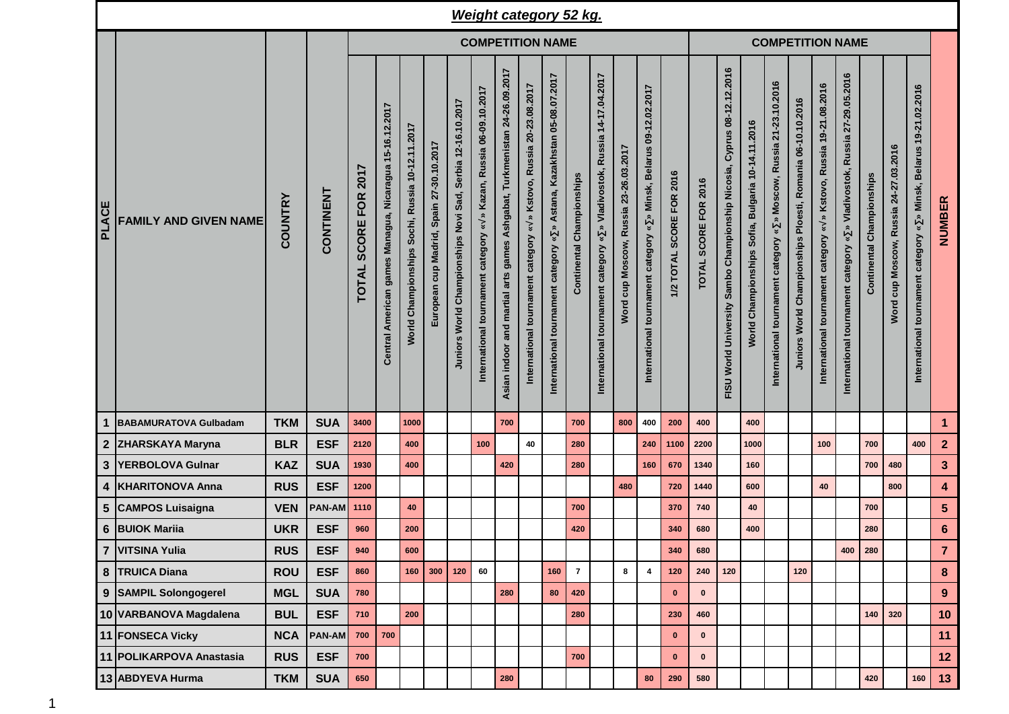|              |                              |                |               |                                                    |                                                         |                                                 |                                          |                                                            |                                                                                             |                                                                             |                                                                                                    | <b>Weight category 52 kg.</b>                                                                             |                              |                                                                                                               |                                          |                                                                                                                             |                          |                         |                                                                                              |                                                                             |                                                                                              |                                                            |                                                                                            |                                                                               |                                  |                                       |                                                                       |                         |  |  |
|--------------|------------------------------|----------------|---------------|----------------------------------------------------|---------------------------------------------------------|-------------------------------------------------|------------------------------------------|------------------------------------------------------------|---------------------------------------------------------------------------------------------|-----------------------------------------------------------------------------|----------------------------------------------------------------------------------------------------|-----------------------------------------------------------------------------------------------------------|------------------------------|---------------------------------------------------------------------------------------------------------------|------------------------------------------|-----------------------------------------------------------------------------------------------------------------------------|--------------------------|-------------------------|----------------------------------------------------------------------------------------------|-----------------------------------------------------------------------------|----------------------------------------------------------------------------------------------|------------------------------------------------------------|--------------------------------------------------------------------------------------------|-------------------------------------------------------------------------------|----------------------------------|---------------------------------------|-----------------------------------------------------------------------|-------------------------|--|--|
|              |                              |                |               | <b>COMPETITION NAME</b>                            |                                                         |                                                 |                                          |                                                            |                                                                                             |                                                                             |                                                                                                    |                                                                                                           |                              |                                                                                                               |                                          |                                                                                                                             |                          | <b>COMPETITION NAME</b> |                                                                                              |                                                                             |                                                                                              |                                                            |                                                                                            |                                                                               |                                  |                                       |                                                                       |                         |  |  |
| <b>PLACE</b> | <b>FAMILY AND GIVEN NAME</b> | <b>COUNTRY</b> | CONTINENT     | 2017<br><b>FOR</b><br><b>SCORE</b><br><b>TOTAL</b> | Central American games Managua, Nicaragua 15-16.12.2017 | World Championships Sochi, Russia 10-12.11.2017 | European cup Madrid, Spain 27-30.10.2017 | Juniors World Championships Novi Sad, Serbia 12-16.10.2017 | » Kazan, Russia 06-09.10.2017<br>$\breve{\phantom{a}}$<br>International tournament category | Ashgabat, Turkmenistan 24-26.09.2017<br>Asian indoor and martial arts games | Kstovo, Russia 20-23.08.2017<br>$\approx$<br>$\,\mathbf{x}\,$<br>International tournament category | Astana, Kazakhstan 05-08.07.2017<br>$\approx$<br>$\boldsymbol{\ast}$<br>International tournament category | Championships<br>Continental | 14-17.04.2017<br><b>Russia</b><br>Vladivostok,<br>$\boldsymbol{\ast}$<br>category<br>International tournament | cup Moscow, Russia 23-26.03.2017<br>Word | 09-12.02.2017<br><b>Belarus</b><br>Minsk,<br>$\hat{\mathbf{z}}$<br>$\boldsymbol{\ast}$<br>International tournament category | 1/2 TOTAL SCORE FOR 2016 | TOTAL SCORE FOR 2016    | 08-12.12.2016<br>Cyprus<br>Championship Nicosia,<br>Sambo<br>World University<br><b>FISU</b> | 10-14.11.2016<br><b>Bulgaria</b><br>Sofia,<br>Championships<br><b>World</b> | 21-23.10.2016<br>» Moscow, Russia<br>$\,\tilde{}$<br>category<br>tournament<br>International | Juniors World Championships Ploesti, Romania 06-10.10.2016 | » Kstovo, Russia 19-21.08.2016<br>$\boldsymbol{\ast}$<br>International tournament category | Russia 27-29.05.2016<br>» Vladivostok,<br>International tournament category « | <b>Continental Championships</b> | Word cup Moscow, Russia 24-27.03.2016 | » Minsk, Belarus 19-21.02.2016<br>International tournament category « | <b>NUMBER</b>           |  |  |
| 1            | BABAMURATOVA Gulbadam        | <b>TKM</b>     | <b>SUA</b>    | 3400                                               |                                                         | 1000                                            |                                          |                                                            |                                                                                             | 700                                                                         |                                                                                                    |                                                                                                           | 700                          |                                                                                                               | 800                                      | 400                                                                                                                         | 200                      | 400                     |                                                                                              | 400                                                                         |                                                                                              |                                                            |                                                                                            |                                                                               |                                  |                                       |                                                                       | $\mathbf{1}$            |  |  |
|              | 2 ZHARSKAYA Maryna           | <b>BLR</b>     | <b>ESF</b>    | 2120                                               |                                                         | 400                                             |                                          |                                                            | 100                                                                                         |                                                                             | 40                                                                                                 |                                                                                                           | 280                          |                                                                                                               |                                          | 240                                                                                                                         | 1100                     | 2200                    |                                                                                              | 1000                                                                        |                                                                                              |                                                            | 100                                                                                        |                                                                               | 700                              |                                       | 400                                                                   | $\mathbf{2}$            |  |  |
|              | 3 YERBOLOVA Gulnar           | <b>KAZ</b>     | <b>SUA</b>    | 1930                                               |                                                         | 400                                             |                                          |                                                            |                                                                                             | 420                                                                         |                                                                                                    |                                                                                                           | 280                          |                                                                                                               |                                          | 160                                                                                                                         | 670                      | 1340                    |                                                                                              | 160                                                                         |                                                                                              |                                                            |                                                                                            |                                                                               | 700                              | 480                                   |                                                                       | $\mathbf{3}$            |  |  |
|              | 4   KHARITONOVA Anna         | <b>RUS</b>     | <b>ESF</b>    | 1200                                               |                                                         |                                                 |                                          |                                                            |                                                                                             |                                                                             |                                                                                                    |                                                                                                           |                              |                                                                                                               | 480                                      |                                                                                                                             | 720                      | 1440                    |                                                                                              | 600                                                                         |                                                                                              |                                                            | 40                                                                                         |                                                                               |                                  | 800                                   |                                                                       | $\overline{\mathbf{4}}$ |  |  |
|              | 5 CAMPOS Luisaigna           | <b>VEN</b>     | PAN-AM        | 1110                                               |                                                         | 40                                              |                                          |                                                            |                                                                                             |                                                                             |                                                                                                    |                                                                                                           | 700                          |                                                                                                               |                                          |                                                                                                                             | 370                      | 740                     |                                                                                              | 40                                                                          |                                                                                              |                                                            |                                                                                            |                                                                               | 700                              |                                       |                                                                       | $5\phantom{.0}$         |  |  |
|              | 6 BUIOK Mariia               | <b>UKR</b>     | <b>ESF</b>    | 960                                                |                                                         | 200                                             |                                          |                                                            |                                                                                             |                                                                             |                                                                                                    |                                                                                                           | 420                          |                                                                                                               |                                          |                                                                                                                             | 340                      | 680                     |                                                                                              | 400                                                                         |                                                                                              |                                                            |                                                                                            |                                                                               | 280                              |                                       |                                                                       | $\bf 6$                 |  |  |
|              | 7 VITSINA Yulia              | <b>RUS</b>     | <b>ESF</b>    | 940                                                |                                                         | 600                                             |                                          |                                                            |                                                                                             |                                                                             |                                                                                                    |                                                                                                           |                              |                                                                                                               |                                          |                                                                                                                             | 340                      | 680                     |                                                                                              |                                                                             |                                                                                              |                                                            |                                                                                            | 400                                                                           | 280                              |                                       |                                                                       | $\overline{7}$          |  |  |
|              | 8 TRUICA Diana               | <b>ROU</b>     | <b>ESF</b>    | 860                                                |                                                         | 160                                             | 300                                      | 120                                                        | 60                                                                                          |                                                                             |                                                                                                    | 160                                                                                                       | $\overline{7}$               |                                                                                                               | 8                                        | $\overline{\mathbf{4}}$                                                                                                     | 120                      | 240                     | 120                                                                                          |                                                                             |                                                                                              | 120                                                        |                                                                                            |                                                                               |                                  |                                       |                                                                       | 8                       |  |  |
|              | 9 SAMPIL Solongogerel        | <b>MGL</b>     | <b>SUA</b>    | 780                                                |                                                         |                                                 |                                          |                                                            |                                                                                             | 280                                                                         |                                                                                                    | 80                                                                                                        | 420                          |                                                                                                               |                                          |                                                                                                                             | $\mathbf 0$              | $\bf{0}$                |                                                                                              |                                                                             |                                                                                              |                                                            |                                                                                            |                                                                               |                                  |                                       |                                                                       | 9                       |  |  |
|              | 10 VARBANOVA Magdalena       | <b>BUL</b>     | <b>ESF</b>    | 710                                                |                                                         | 200                                             |                                          |                                                            |                                                                                             |                                                                             |                                                                                                    |                                                                                                           | 280                          |                                                                                                               |                                          |                                                                                                                             | 230                      | 460                     |                                                                                              |                                                                             |                                                                                              |                                                            |                                                                                            |                                                                               | 140                              | 320                                   |                                                                       | 10                      |  |  |
|              | 11 FONSECA Vicky             | <b>NCA</b>     | <b>PAN-AM</b> | 700                                                | 700                                                     |                                                 |                                          |                                                            |                                                                                             |                                                                             |                                                                                                    |                                                                                                           |                              |                                                                                                               |                                          |                                                                                                                             | $\mathbf 0$              | $\pmb{0}$               |                                                                                              |                                                                             |                                                                                              |                                                            |                                                                                            |                                                                               |                                  |                                       |                                                                       | 11                      |  |  |
|              | 11 POLIKARPOVA Anastasia     | <b>RUS</b>     | <b>ESF</b>    | 700                                                |                                                         |                                                 |                                          |                                                            |                                                                                             |                                                                             |                                                                                                    |                                                                                                           | 700                          |                                                                                                               |                                          |                                                                                                                             | $\mathbf{0}$             | $\bf{0}$                |                                                                                              |                                                                             |                                                                                              |                                                            |                                                                                            |                                                                               |                                  |                                       |                                                                       | 12                      |  |  |
|              | 13 ABDYEVA Hurma             | <b>TKM</b>     | <b>SUA</b>    | 650                                                |                                                         |                                                 |                                          |                                                            |                                                                                             | ${\bf 280}$                                                                 |                                                                                                    |                                                                                                           |                              |                                                                                                               |                                          | 80                                                                                                                          | 290                      | 580                     |                                                                                              |                                                                             |                                                                                              |                                                            |                                                                                            |                                                                               | 420                              |                                       | 160                                                                   | 13                      |  |  |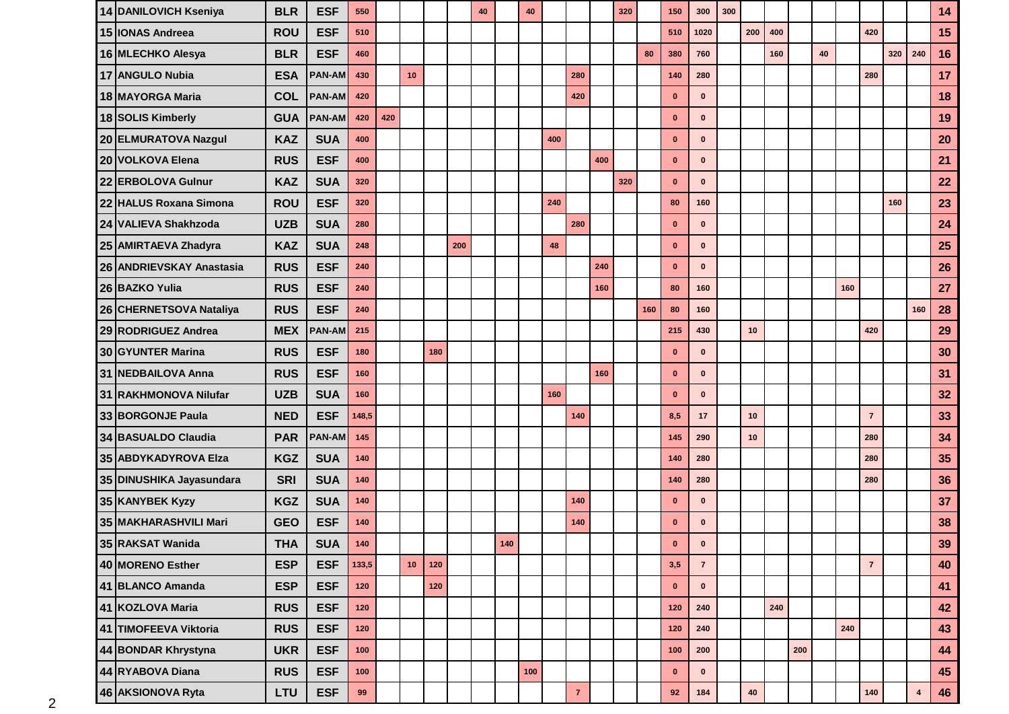| 14 DANILOVICH Kseniya    | <b>BLR</b> | <b>ESF</b>    | 550    |     |    |       |     | 40 |     | 40    |     |                |     | 320 |     | 150          | 300            | 300 |     |     |     |    |     |                |     |                | 14 |
|--------------------------|------------|---------------|--------|-----|----|-------|-----|----|-----|-------|-----|----------------|-----|-----|-----|--------------|----------------|-----|-----|-----|-----|----|-----|----------------|-----|----------------|----|
| 15 IONAS Andreea         | <b>ROU</b> | <b>ESF</b>    | 510    |     |    |       |     |    |     |       |     |                |     |     |     | 510          | 1020           |     | 200 | 400 |     |    |     | 420            |     |                | 15 |
| 16 MLECHKO Alesya        | <b>BLR</b> | <b>ESF</b>    | 460    |     |    |       |     |    |     |       |     |                |     |     | 80  | 380          | 760            |     |     | 160 |     | 40 |     |                | 320 | 240            | 16 |
| 17 ANGULO Nubia          | <b>ESA</b> | <b>PAN-AM</b> | 430    |     | 10 |       |     |    |     |       |     | 280            |     |     |     | 140          | 280            |     |     |     |     |    |     | 280            |     |                | 17 |
| 18 MAYORGA Maria         | <b>COL</b> | <b>PAN-AM</b> | 420    |     |    |       |     |    |     |       |     | 420            |     |     |     | $\bf{0}$     | $\mathbf 0$    |     |     |     |     |    |     |                |     |                | 18 |
| 18 SOLIS Kimberly        | <b>GUA</b> | <b>PAN-AM</b> | 420    | 420 |    |       |     |    |     |       |     |                |     |     |     | $\mathbf{0}$ | $\mathbf{0}$   |     |     |     |     |    |     |                |     |                | 19 |
| 20 ELMURATOVA Nazgul     | <b>KAZ</b> | <b>SUA</b>    | 400    |     |    |       |     |    |     |       | 400 |                |     |     |     | $\mathbf{0}$ | $\mathbf 0$    |     |     |     |     |    |     |                |     |                | 20 |
| 20 VOLKOVA Elena         | <b>RUS</b> | <b>ESF</b>    | 400    |     |    |       |     |    |     |       |     |                | 400 |     |     | $\mathbf{0}$ | $\mathbf{0}$   |     |     |     |     |    |     |                |     |                | 21 |
| 22 ERBOLOVA Gulnur       | <b>KAZ</b> | <b>SUA</b>    | 320    |     |    |       |     |    |     |       |     |                |     | 320 |     | $\mathbf{0}$ | $\mathbf{0}$   |     |     |     |     |    |     |                |     |                | 22 |
| 22 HALUS Roxana Simona   | <b>ROU</b> | <b>ESF</b>    | 320    |     |    |       |     |    |     |       | 240 |                |     |     |     | 80           | 160            |     |     |     |     |    |     |                | 160 |                | 23 |
| 24 VALIEVA Shakhzoda     | <b>UZB</b> | <b>SUA</b>    | 280    |     |    |       |     |    |     |       |     | 280            |     |     |     | $\bf{0}$     | $\mathbf 0$    |     |     |     |     |    |     |                |     |                | 24 |
| 25 AMIRTAEVA Zhadyra     | <b>KAZ</b> | <b>SUA</b>    | 248    |     |    |       | 200 |    |     |       | 48  |                |     |     |     | $\mathbf{0}$ | $\mathbf{0}$   |     |     |     |     |    |     |                |     |                | 25 |
| 26 ANDRIEVSKAY Anastasia | <b>RUS</b> | <b>ESF</b>    | 240    |     |    |       |     |    |     |       |     |                | 240 |     |     | $\mathbf{0}$ | $\mathbf 0$    |     |     |     |     |    |     |                |     |                | 26 |
| 26 BAZKO Yulia           | <b>RUS</b> | <b>ESF</b>    | 240    |     |    |       |     |    |     |       |     |                | 160 |     |     | 80           | 160            |     |     |     |     |    | 160 |                |     |                | 27 |
| 26 CHERNETSOVA Nataliya  | <b>RUS</b> | <b>ESF</b>    | 240    |     |    |       |     |    |     |       |     |                |     |     | 160 | 80           | 160            |     |     |     |     |    |     |                |     | 160            | 28 |
| 29 RODRIGUEZ Andrea      | <b>MEX</b> | <b>PAN-AM</b> | 215    |     |    |       |     |    |     |       |     |                |     |     |     | 215          | 430            |     | 10  |     |     |    |     | 420            |     |                | 29 |
| 30 GYUNTER Marina        | <b>RUS</b> | <b>ESF</b>    | 180    |     |    | 180   |     |    |     |       |     |                |     |     |     | $\bf{0}$     | $\mathbf 0$    |     |     |     |     |    |     |                |     |                | 30 |
| 31 NEDBAILOVA Anna       | <b>RUS</b> | <b>ESF</b>    | 160    |     |    |       |     |    |     |       |     |                | 160 |     |     | $\mathbf{0}$ | $\mathbf{0}$   |     |     |     |     |    |     |                |     |                | 31 |
| 31 RAKHMONOVA Nilufar    | <b>UZB</b> | <b>SUA</b>    | 160    |     |    |       |     |    |     |       | 160 |                |     |     |     | $\mathbf{0}$ | $\mathbf{0}$   |     |     |     |     |    |     |                |     |                | 32 |
| 33 BORGONJE Paula        | <b>NED</b> | <b>ESF</b>    | 148,5  |     |    |       |     |    |     |       |     | 140            |     |     |     | 8,5          | 17             |     | 10  |     |     |    |     | $\overline{7}$ |     |                | 33 |
| 34 BASUALDO Claudia      | <b>PAR</b> | <b>PAN-AM</b> | 145    |     |    |       |     |    |     |       |     |                |     |     |     | 145          | 290            |     | 10  |     |     |    |     | 280            |     |                | 34 |
| 35 ABDYKADYROVA Elza     | <b>KGZ</b> | <b>SUA</b>    | 140    |     |    |       |     |    |     |       |     |                |     |     |     | 140          | 280            |     |     |     |     |    |     | 280            |     |                | 35 |
| 35 DINUSHIKA Jayasundara | <b>SRI</b> | <b>SUA</b>    | 140    |     |    |       |     |    |     |       |     |                |     |     |     | 140          | 280            |     |     |     |     |    |     | 280            |     |                | 36 |
| 35 KANYBEK Kyzy          | <b>KGZ</b> | <b>SUA</b>    | 140    |     |    |       |     |    |     |       |     | 140            |     |     |     | $\mathbf{0}$ | $\mathbf{0}$   |     |     |     |     |    |     |                |     |                | 37 |
| 35 MAKHARASHVILI Mari    | <b>GEO</b> | <b>ESF</b>    | 140    |     |    |       |     |    |     |       |     | 140            |     |     |     | $\mathbf{0}$ | $\mathbf{0}$   |     |     |     |     |    |     |                |     |                | 38 |
| 35 RAKSAT Wanida         | <b>THA</b> | <b>SUA</b>    | $140$  |     |    |       |     |    | 140 |       |     |                |     |     |     | $\mathbf{0}$ | U              |     |     |     |     |    |     |                |     |                | 39 |
| 40 MORENO Esther         | <b>ESP</b> | <b>ESF</b>    | 133,5  |     | 10 | 120   |     |    |     |       |     |                |     |     |     | 3,5          | $\overline{7}$ |     |     |     |     |    |     | $\overline{7}$ |     |                | 40 |
| 41 BLANCO Amanda         | <b>ESP</b> | <b>ESF</b>    | $120$  |     |    | $120$ |     |    |     |       |     |                |     |     |     | $\mathbf 0$  | $\mathbf 0$    |     |     |     |     |    |     |                |     |                | 41 |
| 41 KOZLOVA Maria         | <b>RUS</b> | <b>ESF</b>    | 120    |     |    |       |     |    |     |       |     |                |     |     |     | 120          | 240            |     |     | 240 |     |    |     |                |     |                | 42 |
| 41 TIMOFEEVA Viktoria    | <b>RUS</b> | <b>ESF</b>    | 120    |     |    |       |     |    |     |       |     |                |     |     |     | 120          | 240            |     |     |     |     |    | 240 |                |     |                | 43 |
| 44 BONDAR Khrystyna      | <b>UKR</b> | <b>ESF</b>    | 100    |     |    |       |     |    |     |       |     |                |     |     |     | 100          | 200            |     |     |     | 200 |    |     |                |     |                | 44 |
| 44 RYABOVA Diana         | <b>RUS</b> | <b>ESF</b>    | 100    |     |    |       |     |    |     | $100$ |     |                |     |     |     | $\mathbf 0$  | $\mathbf 0$    |     |     |     |     |    |     |                |     |                | 45 |
| 46 AKSIONOVA Ryta        | LTU        | <b>ESF</b>    | $99\,$ |     |    |       |     |    |     |       |     | $\overline{7}$ |     |     |     | $92\,$       | 184            |     | 40  |     |     |    |     | 140            |     | $\overline{4}$ | 46 |